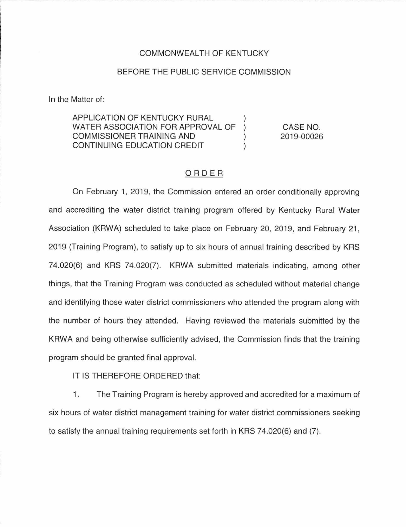#### COMMONWEALTH OF KENTUCKY

#### BEFORE THE PUBLIC SERVICE COMMISSION

In the Matter of:

## APPLICATION OF KENTUCKY RURAL WATER ASSOCIATION FOR APPROVAL OF COMMISSIONER TRAINING AND CONTINUING EDUCATION CREDIT

CASE NO. 2019-00026

## ORDER

 $\mathcal{L}$ 

On February 1, 2019, the Commission entered an order conditionally approving and accrediting the water district training program offered by Kentucky Rural Water Association (KRWA) scheduled to take place on February 20, 2019, and February 21, 2019 (Training Program), to satisfy up to six hours of annual training described by KRS 74.020(6) and KRS 74.020(7). KRWA submitted materials indicating, among other things, that the Training Program was conducted as scheduled without material change and identifying those water district commissioners who attended the program along with the number of hours they attended. Having reviewed the materials submitted by the KRWA and being otherwise sufficiently advised, the Commission finds that the training program should be granted final approval.

IT IS THEREFORE ORDERED that:

1. The Training Program is hereby approved and accredited for a maximum of six hours of water district management training for water district commissioners seeking to satisfy the annual training requirements set forth in KRS 74.020(6) and (7).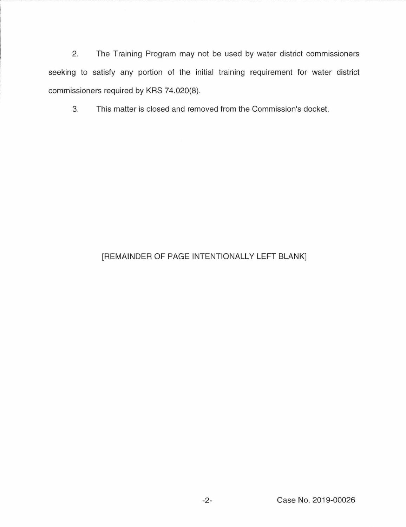2. The Training Program may not be used by water district commissioners seeking to satisfy any portion of the initial training requirement for water district commissioners required by KRS 74.020(8).

3. This matter is closed and removed from the Commission's docket.

# [REMAINDER OF PAGE INTENTIONALLY LEFT BLANK]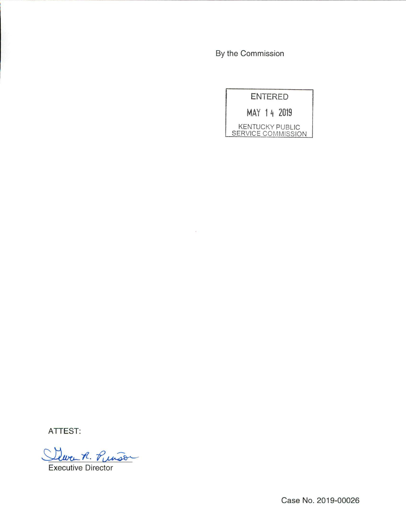By the Commission

 $\bar{\nu}$ 



ATTEST:

Cleven R. Puiss

Executive Director